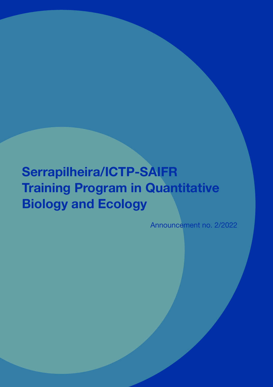# **Serrapilheira/ICTP-SAIFR Training Program in Quantitative Biology and Ecology**

Announcement no. 2/2022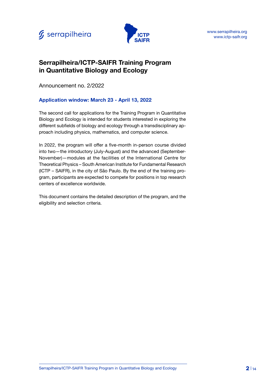



## **Serrapilheira/ICTP-SAIFR Training Program in Quantitative Biology and Ecology**

Announcement no. 2/2022

## **Application window: March 23 - April 13, 2022**

The second call for applications for the Training Program in Quantitative Biology and Ecology is intended for students interested in exploring the different subfields of biology and ecology through a transdisciplinary approach including physics, mathematics, and computer science.

In 2022, the program will offer a five-month in-person course divided into two—the introductory (July-August) and the advanced (September-November)—modules at the facilities of the International Centre for Theoretical Physics – South American Institute for Fundamental Research (ICTP – SAIFR), in the city of São Paulo. By the end of the training program, participants are expected to compete for positions in top research centers of excellence worldwide.

This document contains the detailed description of the program, and the eligibility and selection criteria.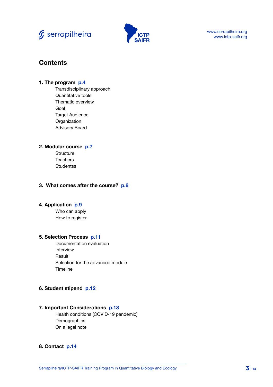



www.serrapilheira.org www.ictp-saifr.org

## **Contents**

#### **1. The program p.4**

Transdisciplinary approach Quantitative tools Thematic overview Goal Target Audience **Organization** Advisory Board

#### **2. Modular course p.7**

**Structure Teachers Studentss** 

#### **3. What comes after the course? p.8**

#### **4. Application p.9**

Who can apply How to register

#### **5. Selection Process p.11**

Documentation evaluation Interview Result Selection for the advanced module Timeline

#### **6. Student stipend p.12**

#### **7. Important Considerations p.13**

Health conditions (COVID-19 pandemic) **Demographics** On a legal note

#### **8. Contact p.14**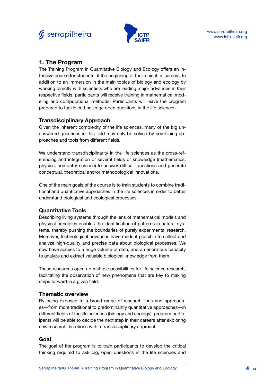



## **1. The Program**

The Training Program in Quantitative Biology and Ecology offers an intensive course for students at the beginning of their scientific careers. In addition to an immersion in the main topics of biology and ecology by working directly with scientists who are leading major advances in their respective fields, participants will receive training in mathematical modeling and computational methods. Participants will leave the program prepared to tackle cutting-edge open questions in the life sciences.

## **Transdisciplinary Approach**

Given the inherent complexity of the life sciences, many of the big unanswered questions in this field may only be solved by combining approaches and tools from different fields.

We understand transdisciplinarity in the life sciences as the cross-referencing and integration of several fields of knowledge (mathematics, physics, computer science) to answer difficult questions and generate conceptual, theoretical and/or methodological innovations.

One of the main goals of the course is to train students to combine traditional and quantitative approaches in the life sciences in order to better understand biological and ecological processes.

## **Quantitative Tools**

Describing living systems through the lens of mathematical models and physical principles enables the identification of patterns in natural systems, thereby pushing the boundaries of purely experimental research. Moreover, technological advances have made it possible to collect and analyze high-quality and precise data about biological processes. We now have access to a huge volume of data, and an enormous capacity to analyze and extract valuable biological knowledge from them.

These resources open up multiple possibilities for life science research, facilitating the observation of new phenomena that are key to making steps forward in a given field.

## **Thematic overview**

By being exposed to a broad range of research lines and approaches—from more traditional to predominantly quantitative approaches—in different fields of the life sciences (biology and ecology), program participants will be able to decide the next step in their careers after exploring new research directions with a transdisciplinary approach.

## **Goal**

The goal of the program is to train participants to develop the critical thinking required to ask big, open questions in the life sciences and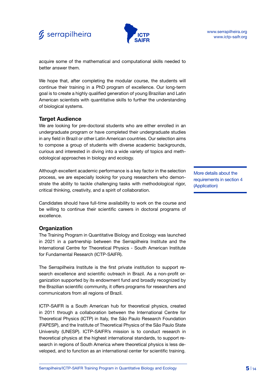## $f<sub>s</sub>$  serrapilheira



acquire some of the mathematical and computational skills needed to better answer them.

We hope that, after completing the modular course, the students will continue their training in a PhD program of excellence. Our long-term goal is to create a highly qualified generation of young Brazilian and Latin American scientists with quantitative skills to further the understanding of biological systems.

## **Target Audience**

We are looking for pre-doctoral students who are either enrolled in an undergraduate program or have completed their undergraduate studies in any field in Brazil or other Latin American countries. Our selection aims to compose a group of students with diverse academic backgrounds, curious and interested in diving into a wide variety of topics and methodological approaches in biology and ecology.

Although excellent academic performance is a key factor in the selection process, we are especially looking for young researchers who demonstrate the ability to tackle challenging tasks with methodological rigor, critical thinking, creativity, and a spirit of collaboration.

Candidates should have full-time availability to work on the course and be willing to continue their scientific careers in doctoral programs of excellence.

#### **Organization**

The Training Program in Quantitative Biology and Ecology was launched in 2021 in a partnership between the Serrapilheira Institute and the International Centre for Theoretical Physics - South American Institute for Fundamental Research (ICTP-SAIFR).

The Serrapilheira Institute is the first private institution to support research excellence and scientific outreach in Brazil. As a non-profit organization supported by its endowment fund and broadly recognized by the Brazilian scientific community, it offers programs for researchers and communicators from all regions of Brazil.

ICTP-SAIFR is a South American hub for theoretical physics, created in 2011 through a collaboration between the International Centre for Theoretical Physics (ICTP) in Italy, the São Paulo Research Foundation (FAPESP), and the Institute of Theoretical Physics of the São Paulo State University (UNESP). ICTP-SAIFR's mission is to conduct research in theoretical physics at the highest international standards, to support research in regions of South America where theoretical physics is less developed, and to function as an international center for scientific training.

More details about the requirements in section 4 (Application)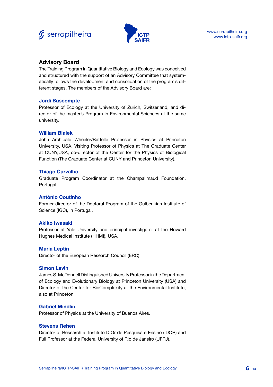



## **Advisory Board**

The Training Program in Quantitative Biology and Ecology was conceived and structured with the support of an Advisory Committee that systematically follows the development and consolidation of the program's different stages. The members of the Advisory Board are:

#### **Jordi Bascompte**

Professor of Ecology at the University of Zurich, Switzerland, and director of the master's Program in Environmental Sciences at the same university.

#### **William Bialek**

John Archibald Wheeler/Battelle Professor in Physics at Princeton University, USA, Visiting Professor of Physics at The Graduate Center at CUNY,USA, co-director of the Center for the Physics of Biological Function (The Graduate Center at CUNY and Princeton University).

#### **Thiago Carvalho**

Graduate Program Coordinator at the Champalimaud Foundation, Portugal.

#### **António Coutinho**

Former director of the Doctoral Program of the Gulbenkian Institute of Science (IGC), in Portugal.

#### **Akiko Iwasaki**

Professor at Yale University and principal investigator at the Howard Hughes Medical Institute (HHMI), USA.

#### **Maria Leptin**

Director of the European Research Council (ERC).

#### **Simon Levin**

James S. McDonnell Distinguished University Professor in the Department of Ecology and Evolutionary Biology at Princeton University (USA) and Director of the Center for BioComplexity at the Environmental Institute, also at Princeton

#### **Gabriel Mindlin**

Professor of Physics at the University of Buenos Aires.

#### **Stevens Rehen**

Director of Research at Instituto D'Or de Pesquisa e Ensino (IDOR) and Full Professor at the Federal University of Rio de Janeiro (UFRJ).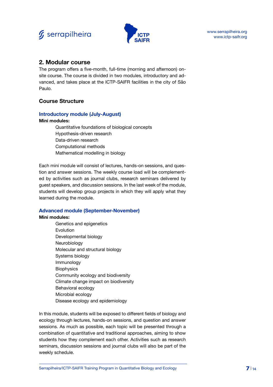



## **2. Modular course**

The program offers a five-month, full-time (morning and afternoon) onsite course. The course is divided in two modules, introductory and advanced, and takes place at the ICTP-SAIFR facilities in the city of São Paulo.

## **Course Structure**

#### **Introductory module (July-August)**

#### **Mini modules:**

Quantitative foundations of biological concepts Hypothesis-driven research Data-driven research Computational methods Mathematical modelling in biology

Each mini module will consist of lectures, hands-on sessions, and question and answer sessions. The weekly course load will be complemented by activities such as journal clubs, research seminars delivered by guest speakers, and discussion sessions. In the last week of the module, students will develop group projects in which they will apply what they learned during the module.

#### **Advanced module (September-November)**

#### **Mini modules:**

Genetics and epigenetics Evolution Developmental biology Neurobiology Molecular and structural biology Systems biology Immunology **Biophysics** Community ecology and biodiversity Climate change impact on biodiversity Behavioral ecology Microbial ecology Disease ecology and epidemiology

In this module, students will be exposed to different fields of biology and ecology through lectures, hands-on sessions, and question and answer sessions. As much as possible, each topic will be presented through a combination of quantitative and traditional approaches, aiming to show students how they complement each other. Activities such as research seminars, discussion sessions and journal clubs will also be part of the weekly schedule.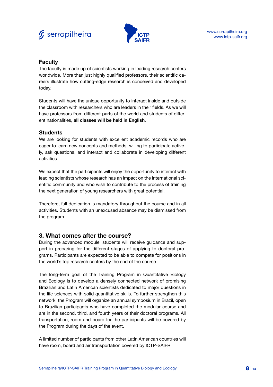



## **Faculty**

The faculty is made up of scientists working in leading research centers worldwide. More than just highly qualified professors, their scientific careers illustrate how cutting-edge research is conceived and developed today.

Students will have the unique opportunity to interact inside and outside the classroom with researchers who are leaders in their fields. As we will have professors from different parts of the world and students of different nationalities, **all classes will be held in English**.

#### **Students**

We are looking for students with excellent academic records who are eager to learn new concepts and methods, willing to participate actively, ask questions, and interact and collaborate in developing different activities.

We expect that the participants will enjoy the opportunity to interact with leading scientists whose research has an impact on the international scientific community and who wish to contribute to the process of training the next generation of young researchers with great potential.

Therefore, full dedication is mandatory throughout the course and in all activities. Students with an unexcused absence may be dismissed from the program.

## **3. What comes after the course?**

During the advanced module, students will receive guidance and support in preparing for the different stages of applying to doctoral programs. Participants are expected to be able to compete for positions in the world's top research centers by the end of the course.

The long-term goal of the Training Program in Quantitative Biology and Ecology is to develop a densely connected network of promising Brazilian and Latin American scientists dedicated to major questions in the life sciences with solid quantitative skills. To further strengthen this network, the Program will organize an annual symposium in Brazil, open to Brazilian participants who have completed the modular course and are in the second, third, and fourth years of their doctoral programs. All transportation, room and board for the participants will be covered by the Program during the days of the event.

A limited number of participants from other Latin American countries will have room, board and air transportation covered by ICTP-SAIFR.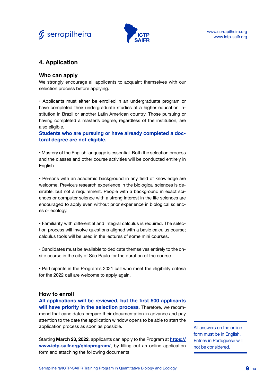



## **4. Application**

#### **Who can apply**

We strongly encourage all applicants to acquaint themselves with our selection process before applying.

• Applicants must either be enrolled in an undergraduate program or have completed their undergraduate studies at a higher education institution in Brazil or another Latin American country. Those pursuing or having completed a master's degree, regardless of the institution, are also eligible.

**Students who are pursuing or have already completed a doctoral degree are not eligible.**

• Mastery of the English language is essential. Both the selection process and the classes and other course activities will be conducted entirely in English.

• Persons with an academic background in any field of knowledge are welcome. Previous research experience in the biological sciences is desirable, but not a requirement. People with a background in exact sciences or computer science with a strong interest in the life sciences are encouraged to apply even without prior experience in biological sciences or ecology.

• Familiarity with differential and integral calculus is required. The selection process will involve questions aligned with a basic calculus course; calculus tools will be used in the lectures of some mini courses.

• Candidates must be available to dedicate themselves entirely to the onsite course in the city of São Paulo for the duration of the course.

• Participants in the Program's 2021 call who meet the eligibility criteria for the 2022 call are welcome to apply again.

#### **How to enroll**

**All applications will be reviewed, but the first 500 applicants will have priority in the selection process**. Therefore, we recommend that candidates prepare their documentation in advance and pay attention to the date the application window opens to be able to start the application process as soon as possible.

Starting **March 23, 2022**, applicants can apply to the Program at **[https://](https://www.ictp-saifr.org/qbioprogram/) [www.ictp-saifr.org/qbioprogram/](https://www.ictp-saifr.org/qbioprogram/)**, by filling out an online application form and attaching the following documents:

All answers on the online form must be in English. Entries in Portuguese will not be considered.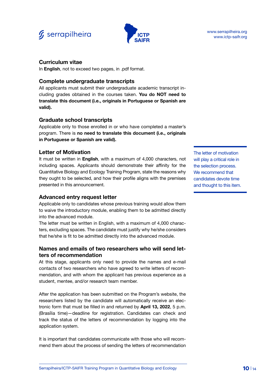



#### **Curriculum vitae**

In **English**, not to exceed two pages, in .pdf format.

#### **Complete undergraduate transcripts**

All applicants must submit their undergraduate academic transcript including grades obtained in the courses taken. **You do NOT need to translate this document (i.e., originals in Portuguese or Spanish are valid).**

#### **Graduate school transcripts**

Applicable only to those enrolled in or who have completed a master's program. There is **no need to translate this document (i.e., originals in Portuguese or Spanish are valid).**

#### **Letter of Motivation**

It must be written in **English**, with a maximum of 4,000 characters, not including spaces. Applicants should demonstrate their affinity for the Quantitative Biology and Ecology Training Program, state the reasons why they ought to be selected, and how their profile aligns with the premises presented in this announcement.

#### **Advanced entry request letter**

Applicable only to candidates whose previous training would allow them to waive the introductory module, enabling them to be admitted directly into the advanced module.

The letter must be written in English, with a maximum of 4,000 characters, excluding spaces. The candidate must justify why he/she considers that he/she is fit to be admitted directly into the advanced module.

## **Names and emails of two researchers who will send letters of recommendation**

At this stage, applicants only need to provide the names and e-mail contacts of two researchers who have agreed to write letters of recommendation, and with whom the applicant has previous experience as a student, mentee, and/or research team member.

After the application has been submitted on the Program's website, the researchers listed by the candidate will automatically receive an electronic form that must be filled in and returned by **April 13, 2022**, 5 p.m. (Brasília time)—deadline for registration. Candidates can check and track the status of the letters of recommendation by logging into the application system.

It is important that candidates communicate with those who will recommend them about the process of sending the letters of recommendation The letter of motivation will play a critical role in the selection process. We recommend that candidates devote time and thought to this item.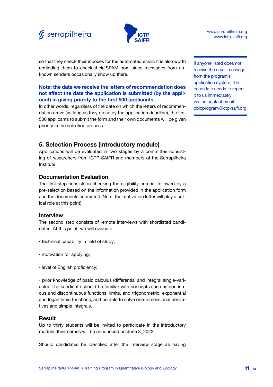



so that they check their inboxes for the automated email. It is also worth reminding them to check their SPAM box, since messages from unknown senders occasionally show up there.

#### **Note: the date we receive the letters of recommendation does not affect the date the application is submitted (by the applicant) in giving priority to the first 500 applicants.**

In other words, regardless of the date on which the letters of recommendation arrive (as long as they do so by the application deadline), the first 500 applicants to submit the form and their own documents will be given priority in the selection process.

**5. Selection Process (introductory module)**

Applications will be evaluated in two stages by a committee consisting of researchers from ICTP-SAIFR and members of the Serrapilheira Institute.

## **Documentation Evaluation**

The first step consists in checking the eligibility criteria, followed by a pre-selection based on the information provided in the application form and the documents submitted (Note: the motivation letter will play a critical role at this point).

#### **Interview**

The second step consists of remote interviews with shortlisted candidates. At this point, we will evaluate:

- technical capability in field of study;
- motivation for applying;
- level of English proficiency;

• prior knowledge of basic calculus (differential and integral single-variable). The candidate should be familiar with concepts such as continuous and discontinuous functions, limits, and trigonometric, exponential and logarithmic functions, and be able to solve one-dimensional derivatives and simple integrals.

#### **Result**

Up to thirty students will be invited to participate in the introductory module; their names will be announced on June 3, 2022.

Should candidates be identified after the interview stage as having

If anyone listed does not receive the email message from the program's application system, the candidate needs to report it to us immediately via the contact email: qbioprogram@ictp-saifr.org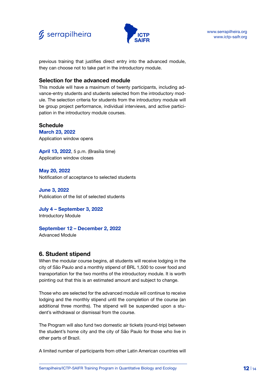



previous training that justifies direct entry into the advanced module, they can choose not to take part in the introductory module.

#### **Selection for the advanced module**

This module will have a maximum of twenty participants, including advance-entry students and students selected from the introductory module. The selection criteria for students from the introductory module will be group project performance, individual interviews, and active participation in the introductory module courses.

#### **Schedule**

**March 23, 2022** Application window opens

**April 13, 2022**, 5 p.m. (Brasília time) Application window closes

**May 20, 2022** Notification of acceptance to selected students

**June 3, 2022** Publication of the list of selected students

**July 4 – September 3, 2022** Introductory Module

#### **September 12 – December 2, 2022**

Advanced Module

## **6. Student stipend**

When the modular course begins, all students will receive lodging in the city of São Paulo and a monthly stipend of BRL 1,500 to cover food and transportation for the two months of the introductory module. It is worth pointing out that this is an estimated amount and subject to change.

Those who are selected for the advanced module will continue to receive lodging and the monthly stipend until the completion of the course (an additional three months). The stipend will be suspended upon a student's withdrawal or dismissal from the course.

The Program will also fund two domestic air tickets (round-trip) between the student's home city and the city of São Paulo for those who live in other parts of Brazil.

A limited number of participants from other Latin American countries will

Serrapilheira/ICTP-SAIFR Training Program in Quantitative Biology and Ecology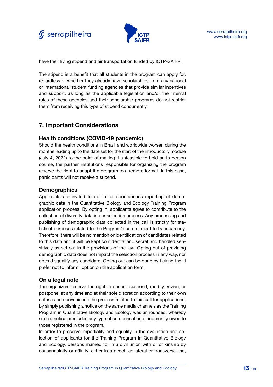

have their living stipend and air transportation funded by ICTP-SAIFR.

The stipend is a benefit that all students in the program can apply for, regardless of whether they already have scholarships from any national or international student funding agencies that provide similar incentives and support, as long as the applicable legislation and/or the internal rules of these agencies and their scholarship programs do not restrict them from receiving this type of stipend concurrently.

## **7. Important Considerations**

## **Health conditions (COVID-19 pandemic)**

Should the health conditions in Brazil and worldwide worsen during the months leading up to the date set for the start of the introductory module (July 4, 2022) to the point of making it unfeasible to hold an in-person course, the partner institutions responsible for organizing the program reserve the right to adapt the program to a remote format. In this case, participants will not receive a stipend.

## **Demographics**

Applicants are invited to opt-in for spontaneous reporting of demographic data in the Quantitative Biology and Ecology Training Program application process. By opting in, applicants agree to contribute to the collection of diversity data in our selection process. Any processing and publishing of demographic data collected in the call is strictly for statistical purposes related to the Program's commitment to transparency. Therefore, there will be no mention or identification of candidates related to this data and it will be kept confidential and secret and handled sensitively as set out in the provisions of the law. Opting out of providing demographic data does not impact the selection process in any way, nor does disqualify any candidate. Opting out can be done by ticking the "I prefer not to inform" option on the application form.

## **On a legal note**

The organizers reserve the right to cancel, suspend, modify, revise, or postpone, at any time and at their sole discretion according to their own criteria and convenience the process related to this call for applications, by simply publishing a notice on the same media channels as the Training Program in Quantitative Biology and Ecology was announced, whereby such a notice precludes any type of compensation or indemnity owed to those registered in the program.

In order to preserve impartiality and equality in the evaluation and selection of applicants for the Training Program in Quantitative Biology and Ecology, persons married to, in a civil union with or of kinship by consanguinity or affinity, either in a direct, collateral or transverse line,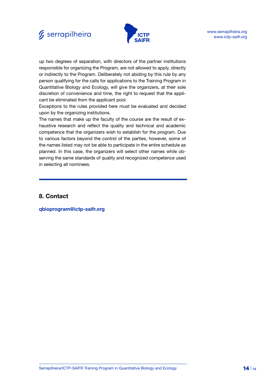



up two degrees of separation, with directors of the partner institutions responsible for organizing the Program, are not allowed to apply, directly or indirectly to the Program. Deliberately not abiding by this rule by any person qualifying for the calls for applications to the Training Program in Quantitative Biology and Ecology, will give the organizers, at their sole discretion of convenience and time, the right to request that the applicant be eliminated from the applicant pool.

Exceptions to the rules provided here must be evaluated and decided upon by the organizing institutions.

The names that make up the faculty of the course are the result of exhaustive research and reflect the quality and technical and academic competence that the organizers wish to establish for the program. Due to various factors beyond the control of the parties, however, some of the names listed may not be able to participate in the entire schedule as planned. In this case, the organizers will select other names while observing the same standards of quality and recognized competence used in selecting all nominees.

## **8. Contact**

**qbioprogram@ictp-saifr.org**